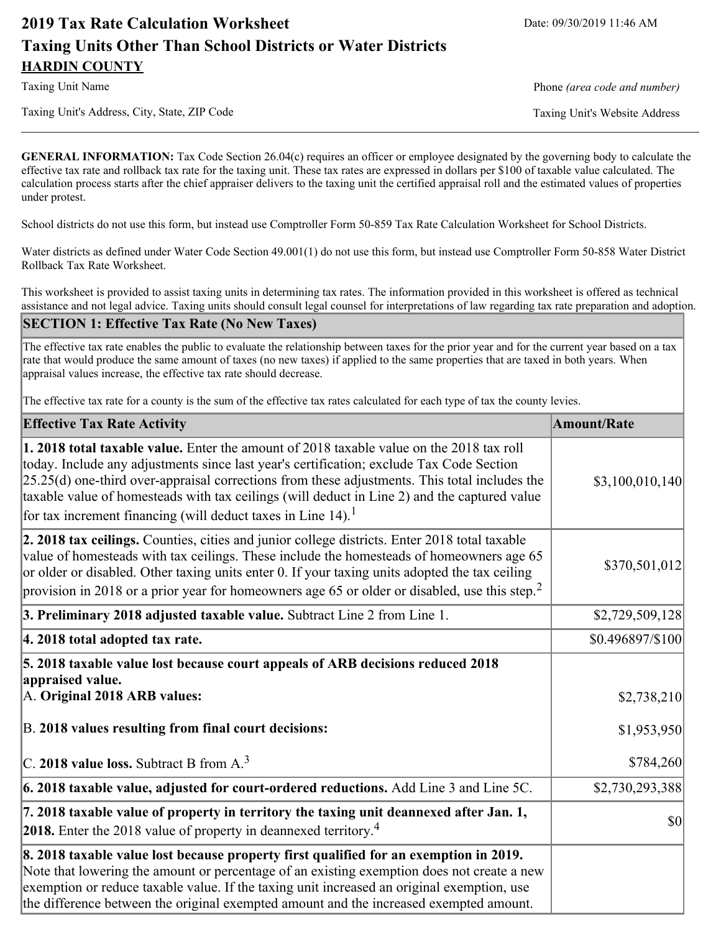# **2019 Tax Rate Calculation Worksheet** Date: 09/30/2019 11:46 AM **Taxing Units Other Than School Districts or Water Districts HARDIN COUNTY**

Taxing Unit Name **Phone** *(area code and number)* Phone *(area code and number)* 

Taxing Unit's Address, City, State, ZIP Code Taxing Unit's Website Address

**GENERAL INFORMATION:** Tax Code Section 26.04(c) requires an officer or employee designated by the governing body to calculate the effective tax rate and rollback tax rate for the taxing unit. These tax rates are expressed in dollars per \$100 of taxable value calculated. The calculation process starts after the chief appraiser delivers to the taxing unit the certified appraisal roll and the estimated values of properties under protest.

School districts do not use this form, but instead use Comptroller Form 50-859 Tax Rate Calculation Worksheet for School Districts.

Water districts as defined under Water Code Section 49.001(1) do not use this form, but instead use Comptroller Form 50-858 Water District Rollback Tax Rate Worksheet.

This worksheet is provided to assist taxing units in determining tax rates. The information provided in this worksheet is offered as technical assistance and not legal advice. Taxing units should consult legal counsel for interpretations of law regarding tax rate preparation and adoption.

### **SECTION 1: Effective Tax Rate (No New Taxes)**

The effective tax rate enables the public to evaluate the relationship between taxes for the prior year and for the current year based on a tax rate that would produce the same amount of taxes (no new taxes) if applied to the same properties that are taxed in both years. When appraisal values increase, the effective tax rate should decrease.

The effective tax rate for a county is the sum of the effective tax rates calculated for each type of tax the county levies.

| <b>Effective Tax Rate Activity</b>                                                                                                                                                                                                                                                                                                                                                                                                                                             | <b>Amount/Rate</b>         |
|--------------------------------------------------------------------------------------------------------------------------------------------------------------------------------------------------------------------------------------------------------------------------------------------------------------------------------------------------------------------------------------------------------------------------------------------------------------------------------|----------------------------|
| <b>1. 2018 total taxable value.</b> Enter the amount of 2018 taxable value on the 2018 tax roll<br>today. Include any adjustments since last year's certification; exclude Tax Code Section<br>$[25.25(d)$ one-third over-appraisal corrections from these adjustments. This total includes the<br>taxable value of homesteads with tax ceilings (will deduct in Line 2) and the captured value<br>for tax increment financing (will deduct taxes in Line $14$ ). <sup>1</sup> | \$3,100,010,140            |
| 2. 2018 tax ceilings. Counties, cities and junior college districts. Enter 2018 total taxable<br>value of homesteads with tax ceilings. These include the homesteads of homeowners age 65<br>or older or disabled. Other taxing units enter 0. If your taxing units adopted the tax ceiling<br>provision in 2018 or a prior year for homeowners age 65 or older or disabled, use this step. <sup>2</sup>                                                                       | \$370,501,012              |
| 3. Preliminary 2018 adjusted taxable value. Subtract Line 2 from Line 1.                                                                                                                                                                                                                                                                                                                                                                                                       | \$2,729,509,128            |
| 4. 2018 total adopted tax rate.                                                                                                                                                                                                                                                                                                                                                                                                                                                | \$0.496897/\$100           |
| 5. 2018 taxable value lost because court appeals of ARB decisions reduced 2018<br>appraised value.<br>A. Original 2018 ARB values:<br>B. 2018 values resulting from final court decisions:                                                                                                                                                                                                                                                                                     | \$2,738,210<br>\$1,953,950 |
| C. 2018 value loss. Subtract B from A. <sup>3</sup>                                                                                                                                                                                                                                                                                                                                                                                                                            | \$784,260                  |
| 6. 2018 taxable value, adjusted for court-ordered reductions. Add Line 3 and Line 5C.                                                                                                                                                                                                                                                                                                                                                                                          | \$2,730,293,388            |
| 7. 2018 taxable value of property in territory the taxing unit deannexed after Jan. 1,<br><b>2018.</b> Enter the 2018 value of property in deannexed territory. <sup>4</sup>                                                                                                                                                                                                                                                                                                   | <b>\$0</b>                 |
| 8. 2018 taxable value lost because property first qualified for an exemption in 2019.<br>Note that lowering the amount or percentage of an existing exemption does not create a new<br>exemption or reduce taxable value. If the taxing unit increased an original exemption, use<br>the difference between the original exempted amount and the increased exempted amount.                                                                                                    |                            |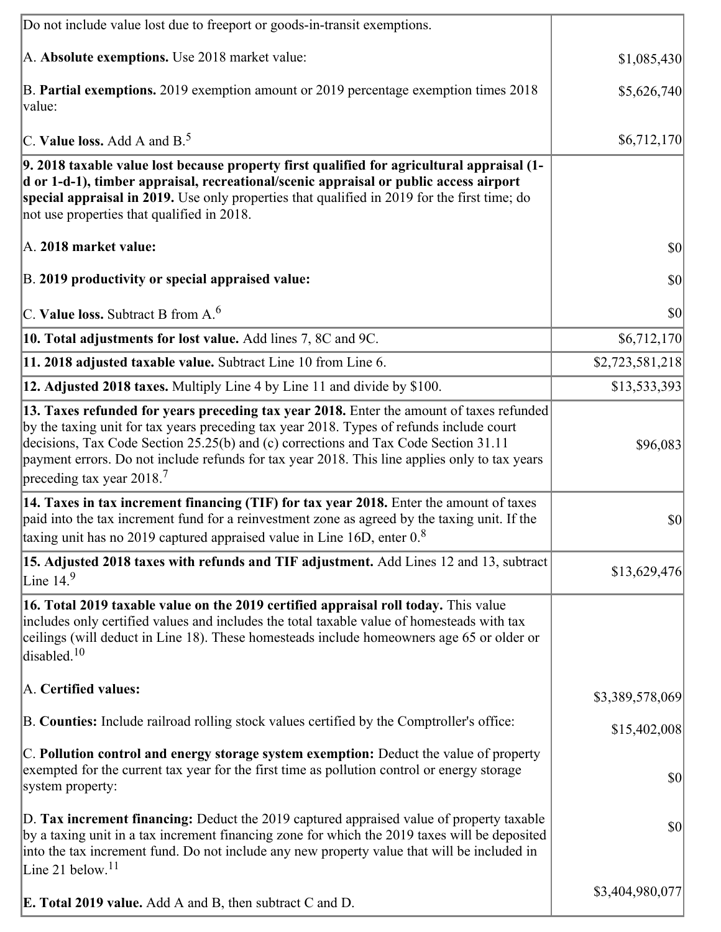| Do not include value lost due to freeport or goods-in-transit exemptions.                                                                                                                                                                                                                                                                                                                                              |                 |
|------------------------------------------------------------------------------------------------------------------------------------------------------------------------------------------------------------------------------------------------------------------------------------------------------------------------------------------------------------------------------------------------------------------------|-----------------|
| A. Absolute exemptions. Use 2018 market value:                                                                                                                                                                                                                                                                                                                                                                         | \$1,085,430     |
| B. Partial exemptions. 2019 exemption amount or 2019 percentage exemption times 2018<br>value:                                                                                                                                                                                                                                                                                                                         | \$5,626,740     |
| C. Value loss. Add A and $B^5$ .                                                                                                                                                                                                                                                                                                                                                                                       | \$6,712,170     |
| 9. 2018 taxable value lost because property first qualified for agricultural appraisal (1-<br>d or 1-d-1), timber appraisal, recreational/scenic appraisal or public access airport<br>special appraisal in 2019. Use only properties that qualified in 2019 for the first time; do<br>not use properties that qualified in 2018.                                                                                      |                 |
| A. 2018 market value:                                                                                                                                                                                                                                                                                                                                                                                                  | $ 10\rangle$    |
| B. 2019 productivity or special appraised value:                                                                                                                                                                                                                                                                                                                                                                       | \$0             |
| C. Value loss. Subtract B from $A6$                                                                                                                                                                                                                                                                                                                                                                                    | \$0             |
| 10. Total adjustments for lost value. Add lines 7, 8C and 9C.                                                                                                                                                                                                                                                                                                                                                          | \$6,712,170     |
| 11. 2018 adjusted taxable value. Subtract Line 10 from Line 6.                                                                                                                                                                                                                                                                                                                                                         | \$2,723,581,218 |
| 12. Adjusted 2018 taxes. Multiply Line 4 by Line 11 and divide by \$100.                                                                                                                                                                                                                                                                                                                                               | \$13,533,393    |
| 13. Taxes refunded for years preceding tax year 2018. Enter the amount of taxes refunded<br>by the taxing unit for tax years preceding tax year 2018. Types of refunds include court<br>decisions, Tax Code Section 25.25(b) and (c) corrections and Tax Code Section 31.11<br>payment errors. Do not include refunds for tax year 2018. This line applies only to tax years<br>preceding tax year $2018$ <sup>7</sup> | \$96,083        |
| 14. Taxes in tax increment financing (TIF) for tax year 2018. Enter the amount of taxes<br>paid into the tax increment fund for a reinvestment zone as agreed by the taxing unit. If the<br>taxing unit has no 2019 captured appraised value in Line 16D, enter 0.8                                                                                                                                                    | $ 10\rangle$    |
| 15. Adjusted 2018 taxes with refunds and TIF adjustment. Add Lines 12 and 13, subtract<br>Line $149$                                                                                                                                                                                                                                                                                                                   | \$13,629,476    |
| 16. Total 2019 taxable value on the 2019 certified appraisal roll today. This value<br>includes only certified values and includes the total taxable value of homesteads with tax<br>ceilings (will deduct in Line 18). These homesteads include homeowners age 65 or older or<br>disabled. $10$                                                                                                                       |                 |
| A. Certified values:                                                                                                                                                                                                                                                                                                                                                                                                   | \$3,389,578,069 |
| B. Counties: Include railroad rolling stock values certified by the Comptroller's office:                                                                                                                                                                                                                                                                                                                              | \$15,402,008    |
| C. Pollution control and energy storage system exemption: Deduct the value of property<br>exempted for the current tax year for the first time as pollution control or energy storage<br>system property:                                                                                                                                                                                                              | \$0             |
| D. Tax increment financing: Deduct the 2019 captured appraised value of property taxable<br>by a taxing unit in a tax increment financing zone for which the 2019 taxes will be deposited<br>into the tax increment fund. Do not include any new property value that will be included in<br>Line 21 below. $11$                                                                                                        | \$0             |
| <b>E. Total 2019 value.</b> Add A and B, then subtract C and D.                                                                                                                                                                                                                                                                                                                                                        | \$3,404,980,077 |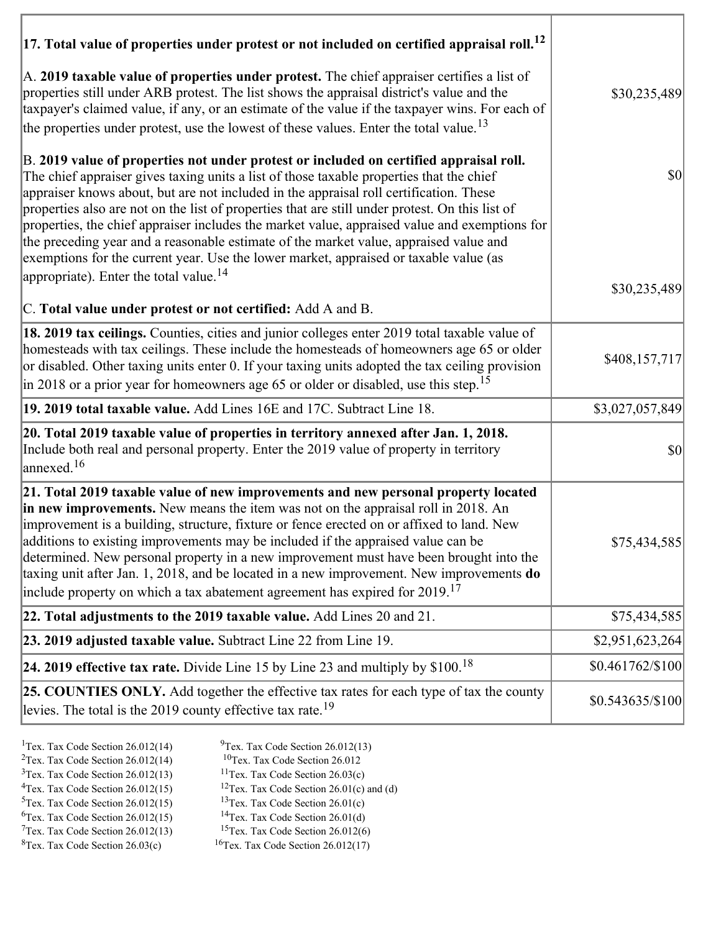| $ 17$ . Total value of properties under protest or not included on certified appraisal roll. <sup>12</sup><br>A. 2019 taxable value of properties under protest. The chief appraiser certifies a list of<br>properties still under ARB protest. The list shows the appraisal district's value and the                                                                                                                                                                                                                                                                                                                                                                                                                    | \$30,235,489      |
|--------------------------------------------------------------------------------------------------------------------------------------------------------------------------------------------------------------------------------------------------------------------------------------------------------------------------------------------------------------------------------------------------------------------------------------------------------------------------------------------------------------------------------------------------------------------------------------------------------------------------------------------------------------------------------------------------------------------------|-------------------|
| taxpayer's claimed value, if any, or an estimate of the value if the taxpayer wins. For each of<br>the properties under protest, use the lowest of these values. Enter the total value. <sup>13</sup>                                                                                                                                                                                                                                                                                                                                                                                                                                                                                                                    |                   |
| B. 2019 value of properties not under protest or included on certified appraisal roll.<br>The chief appraiser gives taxing units a list of those taxable properties that the chief<br>appraiser knows about, but are not included in the appraisal roll certification. These<br>properties also are not on the list of properties that are still under protest. On this list of<br>properties, the chief appraiser includes the market value, appraised value and exemptions for<br>the preceding year and a reasonable estimate of the market value, appraised value and<br>exemptions for the current year. Use the lower market, appraised or taxable value (as<br>appropriate). Enter the total value. <sup>14</sup> | $ 10\rangle$      |
| C. Total value under protest or not certified: Add A and B.                                                                                                                                                                                                                                                                                                                                                                                                                                                                                                                                                                                                                                                              | \$30,235,489      |
| 18. 2019 tax ceilings. Counties, cities and junior colleges enter 2019 total taxable value of<br>homesteads with tax ceilings. These include the homesteads of homeowners age 65 or older<br>or disabled. Other taxing units enter 0. If your taxing units adopted the tax ceiling provision<br>in 2018 or a prior year for homeowners age 65 or older or disabled, use this step. <sup>15</sup>                                                                                                                                                                                                                                                                                                                         | \$408,157,717     |
| 19. 2019 total taxable value. Add Lines 16E and 17C. Subtract Line 18.                                                                                                                                                                                                                                                                                                                                                                                                                                                                                                                                                                                                                                                   | \$3,027,057,849   |
| 20. Total 2019 taxable value of properties in territory annexed after Jan. 1, 2018.<br>Include both real and personal property. Enter the 2019 value of property in territory<br>annexed. <sup>16</sup>                                                                                                                                                                                                                                                                                                                                                                                                                                                                                                                  | $ 10\rangle$      |
| 21. Total 2019 taxable value of new improvements and new personal property located<br>in new improvements. New means the item was not on the appraisal roll in 2018. An<br>improvement is a building, structure, fixture or fence erected on or affixed to land. New<br>additions to existing improvements may be included if the appraised value can be<br>determined. New personal property in a new improvement must have been brought into the<br>taxing unit after Jan. 1, 2018, and be located in a new improvement. New improvements do<br>include property on which a tax abatement agreement has expired for $2019$ . <sup>17</sup>                                                                             | \$75,434,585      |
| 22. Total adjustments to the 2019 taxable value. Add Lines 20 and 21.                                                                                                                                                                                                                                                                                                                                                                                                                                                                                                                                                                                                                                                    | \$75,434,585      |
| 23. 2019 adjusted taxable value. Subtract Line 22 from Line 19.                                                                                                                                                                                                                                                                                                                                                                                                                                                                                                                                                                                                                                                          | \$2,951,623,264   |
| 24. 2019 effective tax rate. Divide Line 15 by Line 23 and multiply by $$100.18$                                                                                                                                                                                                                                                                                                                                                                                                                                                                                                                                                                                                                                         | \$0.461762/\$100  |
| 25. COUNTIES ONLY. Add together the effective tax rates for each type of tax the county<br>levies. The total is the 2019 county effective tax rate. <sup>19</sup>                                                                                                                                                                                                                                                                                                                                                                                                                                                                                                                                                        | $$0.543635/\$100$ |

- 
- <sup>1</sup>Tex. Tax Code Section 26.012(14) <sup>9</sup>Tex. Tax Code Section 26.012(13) <sup>9</sup>Tex. Tax Code Section 26.012
- <sup>2</sup>Tex. Tax Code Section 26.012(14) <sup>10</sup>Tex. Tax Code Section 26.012<br><sup>3</sup>Tex. Tax Code Section 26.03(c) <sup>11</sup>Tex. Tax Code Section 26.03(c)
	-
- ${}^{3}$ Tex. Tax Code Section 26.012(13)<br> ${}^{4}$ Tex. Tax Code Section 26.012(15)
- <sup>12</sup>Tex. Tax Code Section 26.01(c) and (d) <sup>13</sup>Tex. Tax Code Section 26.01(c) <sup>5</sup>Tex. Tax Code Section 26.012(15) <sup>13</sup>Tex. Tax Code Section 26.01(c)<br><sup>6</sup>Tex. Tax Code Section 26.012(15) <sup>14</sup>Tex. Tax Code Section 26.01(d)
	-
- <sup>6</sup>Tex. Tax Code Section 26.012(15) <sup>14</sup>Tex. Tax Code Section 26.01(d)<br><sup>7</sup>Tex. Tax Code Section 26.012(13) <sup>15</sup>Tex. Tax Code Section 26.012(6)
- $7$ Tex. Tax Code Section 26.012(13)<br><sup>8</sup>Tex. Tax Code Section 26.03(c)
- $16$ Tex. Tax Code Section 26.012(17)
-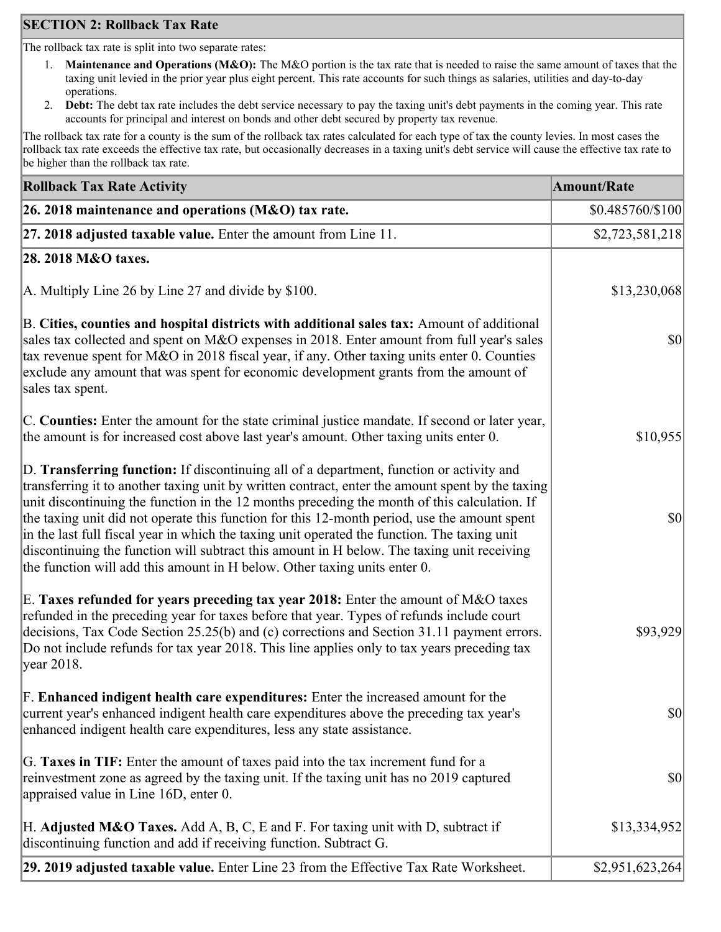## **SECTION 2: Rollback Tax Rate**

The rollback tax rate is split into two separate rates:

- 1. **Maintenance and Operations (M&O):** The M&O portion is the tax rate that is needed to raise the same amount of taxes that the taxing unit levied in the prior year plus eight percent. This rate accounts for such things as salaries, utilities and day-to-day operations.
- 2. **Debt:** The debt tax rate includes the debt service necessary to pay the taxing unit's debt payments in the coming year. This rate accounts for principal and interest on bonds and other debt secured by property tax revenue.

The rollback tax rate for a county is the sum of the rollback tax rates calculated for each type of tax the county levies. In most cases the rollback tax rate exceeds the effective tax rate, but occasionally decreases in a taxing unit's debt service will cause the effective tax rate to be higher than the rollback tax rate.

| <b>Rollback Tax Rate Activity</b>                                                                                                                                                                                                                                                                                                                                                                                                                                                                                                                                                                                                                                       | <b>Amount/Rate</b> |
|-------------------------------------------------------------------------------------------------------------------------------------------------------------------------------------------------------------------------------------------------------------------------------------------------------------------------------------------------------------------------------------------------------------------------------------------------------------------------------------------------------------------------------------------------------------------------------------------------------------------------------------------------------------------------|--------------------|
| 26. 2018 maintenance and operations ( $M&O$ ) tax rate.                                                                                                                                                                                                                                                                                                                                                                                                                                                                                                                                                                                                                 | \$0.485760/\$100   |
| 27. 2018 adjusted taxable value. Enter the amount from Line 11.                                                                                                                                                                                                                                                                                                                                                                                                                                                                                                                                                                                                         | \$2,723,581,218    |
| 28. 2018 M&O taxes.                                                                                                                                                                                                                                                                                                                                                                                                                                                                                                                                                                                                                                                     |                    |
| A. Multiply Line 26 by Line 27 and divide by $$100$ .                                                                                                                                                                                                                                                                                                                                                                                                                                                                                                                                                                                                                   | \$13,230,068       |
| B. Cities, counties and hospital districts with additional sales tax: Amount of additional<br>sales tax collected and spent on M&O expenses in 2018. Enter amount from full year's sales<br>tax revenue spent for M&O in 2018 fiscal year, if any. Other taxing units enter 0. Counties<br>exclude any amount that was spent for economic development grants from the amount of<br>sales tax spent.                                                                                                                                                                                                                                                                     | <b>\$0</b>         |
| C. Counties: Enter the amount for the state criminal justice mandate. If second or later year,<br>the amount is for increased cost above last year's amount. Other taxing units enter 0.                                                                                                                                                                                                                                                                                                                                                                                                                                                                                | \$10,955           |
| D. Transferring function: If discontinuing all of a department, function or activity and<br>transferring it to another taxing unit by written contract, enter the amount spent by the taxing<br>unit discontinuing the function in the 12 months preceding the month of this calculation. If<br>the taxing unit did not operate this function for this 12-month period, use the amount spent<br>in the last full fiscal year in which the taxing unit operated the function. The taxing unit<br>discontinuing the function will subtract this amount in H below. The taxing unit receiving<br>the function will add this amount in H below. Other taxing units enter 0. | $ 10\rangle$       |
| E. Taxes refunded for years preceding tax year 2018: Enter the amount of M&O taxes<br>refunded in the preceding year for taxes before that year. Types of refunds include court<br>decisions, Tax Code Section 25.25(b) and (c) corrections and Section 31.11 payment errors.<br>Do not include refunds for tax year 2018. This line applies only to tax years preceding tax<br> year 2018.                                                                                                                                                                                                                                                                             | \$93,929           |
| F. Enhanced indigent health care expenditures: Enter the increased amount for the<br>current year's enhanced indigent health care expenditures above the preceding tax year's<br>enhanced indigent health care expenditures, less any state assistance.                                                                                                                                                                                                                                                                                                                                                                                                                 | <b>\$0</b>         |
| G. Taxes in TIF: Enter the amount of taxes paid into the tax increment fund for a<br>reinvestment zone as agreed by the taxing unit. If the taxing unit has no 2019 captured<br>appraised value in Line 16D, enter 0.                                                                                                                                                                                                                                                                                                                                                                                                                                                   | $ 10\rangle$       |
| H. Adjusted M&O Taxes. Add A, B, C, E and F. For taxing unit with D, subtract if<br>discontinuing function and add if receiving function. Subtract G.                                                                                                                                                                                                                                                                                                                                                                                                                                                                                                                   | \$13,334,952       |
| 29. 2019 adjusted taxable value. Enter Line 23 from the Effective Tax Rate Worksheet.                                                                                                                                                                                                                                                                                                                                                                                                                                                                                                                                                                                   | \$2,951,623,264    |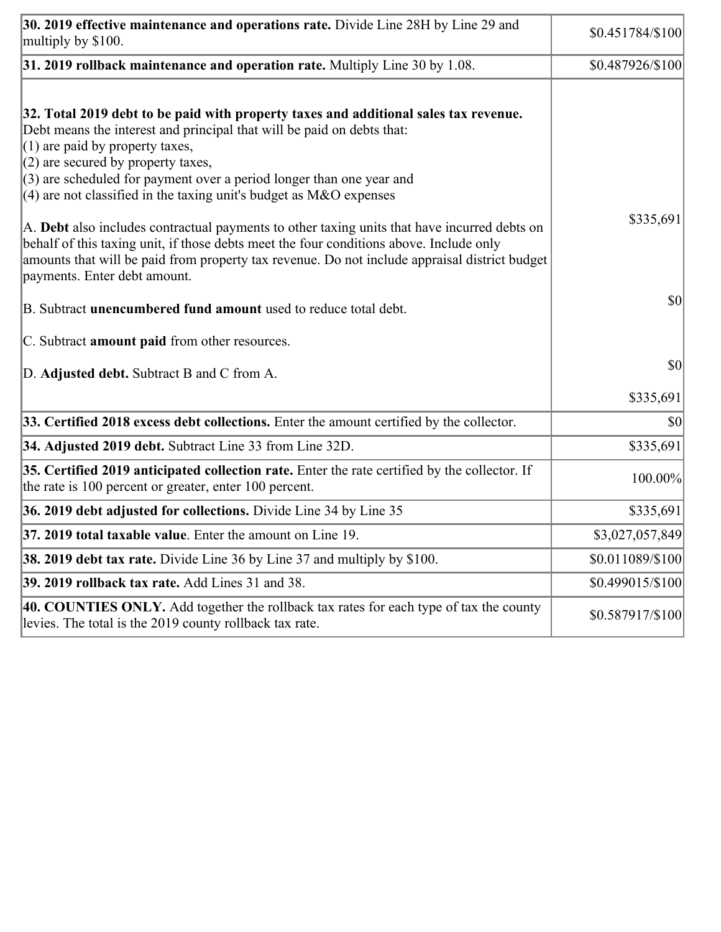| 30. 2019 effective maintenance and operations rate. Divide Line 28H by Line 29 and<br>multiply by \$100.                                                                                                                                                                                                                                                                                      | $$0.451784/\$100$ |
|-----------------------------------------------------------------------------------------------------------------------------------------------------------------------------------------------------------------------------------------------------------------------------------------------------------------------------------------------------------------------------------------------|-------------------|
| $31.2019$ rollback maintenance and operation rate. Multiply Line 30 by 1.08.                                                                                                                                                                                                                                                                                                                  | \$0.487926/\$100  |
| 32. Total 2019 debt to be paid with property taxes and additional sales tax revenue.<br>Debt means the interest and principal that will be paid on debts that:<br>$(1)$ are paid by property taxes,<br>$(2)$ are secured by property taxes,<br>$(3)$ are scheduled for payment over a period longer than one year and<br>$(4)$ are not classified in the taxing unit's budget as M&O expenses |                   |
| A. Debt also includes contractual payments to other taxing units that have incurred debts on<br>behalf of this taxing unit, if those debts meet the four conditions above. Include only<br>amounts that will be paid from property tax revenue. Do not include appraisal district budget<br>payments. Enter debt amount.                                                                      | \$335,691         |
| B. Subtract unencumbered fund amount used to reduce total debt.                                                                                                                                                                                                                                                                                                                               | \$0               |
| C. Subtract amount paid from other resources.                                                                                                                                                                                                                                                                                                                                                 |                   |
| D. Adjusted debt. Subtract B and C from A.                                                                                                                                                                                                                                                                                                                                                    | \$0               |
|                                                                                                                                                                                                                                                                                                                                                                                               | \$335,691         |
| 33. Certified 2018 excess debt collections. Enter the amount certified by the collector.                                                                                                                                                                                                                                                                                                      | \$0               |
| 34. Adjusted 2019 debt. Subtract Line 33 from Line 32D.                                                                                                                                                                                                                                                                                                                                       | \$335,691         |
| 35. Certified 2019 anticipated collection rate. Enter the rate certified by the collector. If<br>the rate is 100 percent or greater, enter 100 percent.                                                                                                                                                                                                                                       | 100.00%           |
| 36. 2019 debt adjusted for collections. Divide Line 34 by Line 35                                                                                                                                                                                                                                                                                                                             | \$335,691         |
| 37. 2019 total taxable value. Enter the amount on Line 19.                                                                                                                                                                                                                                                                                                                                    | \$3,027,057,849   |
| <b>38. 2019 debt tax rate.</b> Divide Line 36 by Line 37 and multiply by \$100.                                                                                                                                                                                                                                                                                                               | \$0.011089/\$100  |
| 39. 2019 rollback tax rate. Add Lines 31 and 38.                                                                                                                                                                                                                                                                                                                                              | \$0.499015/\$100  |
| 40. COUNTIES ONLY. Add together the rollback tax rates for each type of tax the county<br>levies. The total is the 2019 county rollback tax rate.                                                                                                                                                                                                                                             | \$0.587917/\$100  |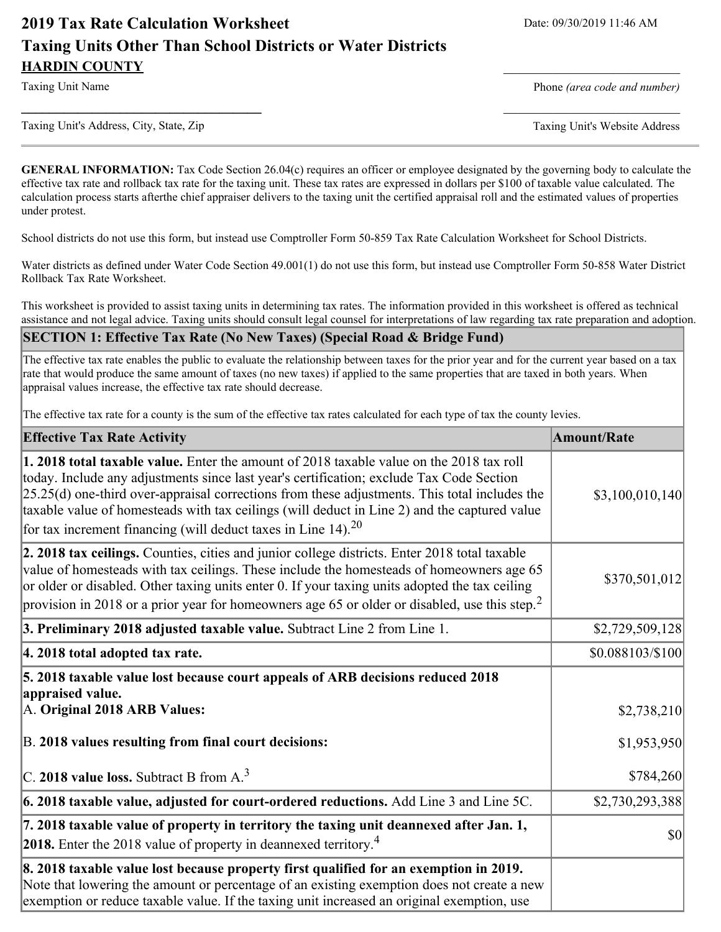# **2019 Tax Rate Calculation Worksheet** Date: 09/30/2019 11:46 AM **Taxing Units Other Than School Districts or Water Districts HARDIN COUNTY**

Taxing Unit Name **Phone** *(area code and number)* Phone *(area code and number)* 

Taxing Unit's Address, City, State, Zip Taxing Unit's Website Address

**GENERAL INFORMATION:** Tax Code Section 26.04(c) requires an officer or employee designated by the governing body to calculate the effective tax rate and rollback tax rate for the taxing unit. These tax rates are expressed in dollars per \$100 of taxable value calculated. The calculation process starts afterthe chief appraiser delivers to the taxing unit the certified appraisal roll and the estimated values of properties under protest.

**\_\_\_\_\_\_\_\_\_\_\_\_\_\_\_\_\_\_\_\_\_\_\_\_\_\_\_\_\_\_\_\_\_\_** \_\_\_\_\_\_\_\_\_\_\_\_\_\_\_\_\_\_\_\_\_\_\_\_\_

School districts do not use this form, but instead use Comptroller Form 50-859 Tax Rate Calculation Worksheet for School Districts.

Water districts as defined under Water Code Section 49.001(1) do not use this form, but instead use Comptroller Form 50-858 Water District Rollback Tax Rate Worksheet.

This worksheet is provided to assist taxing units in determining tax rates. The information provided in this worksheet is offered as technical assistance and not legal advice. Taxing units should consult legal counsel for interpretations of law regarding tax rate preparation and adoption.

**SECTION 1: Effective Tax Rate (No New Taxes) (Special Road & Bridge Fund)**

The effective tax rate enables the public to evaluate the relationship between taxes for the prior year and for the current year based on a tax rate that would produce the same amount of taxes (no new taxes) if applied to the same properties that are taxed in both years. When appraisal values increase, the effective tax rate should decrease.

The effective tax rate for a county is the sum of the effective tax rates calculated for each type of tax the county levies.

| <b>Effective Tax Rate Activity</b>                                                                                                                                                                                                                                                                                                                                                                                                                              | <b>Amount/Rate</b> |
|-----------------------------------------------------------------------------------------------------------------------------------------------------------------------------------------------------------------------------------------------------------------------------------------------------------------------------------------------------------------------------------------------------------------------------------------------------------------|--------------------|
| 1. 2018 total taxable value. Enter the amount of 2018 taxable value on the 2018 tax roll<br>today. Include any adjustments since last year's certification; exclude Tax Code Section<br>$[25.25(d)$ one-third over-appraisal corrections from these adjustments. This total includes the<br>taxable value of homesteads with tax ceilings (will deduct in Line 2) and the captured value<br>for tax increment financing (will deduct taxes in Line 14). $^{20}$ | \$3,100,010,140]   |
| 2. 2018 tax ceilings. Counties, cities and junior college districts. Enter 2018 total taxable<br>value of homesteads with tax ceilings. These include the homesteads of homeowners age 65<br>or older or disabled. Other taxing units enter 0. If your taxing units adopted the tax ceiling<br>provision in 2018 or a prior year for homeowners age 65 or older or disabled, use this step. <sup>2</sup>                                                        | \$370,501,012      |
| 3. Preliminary 2018 adjusted taxable value. Subtract Line 2 from Line 1.                                                                                                                                                                                                                                                                                                                                                                                        | \$2,729,509,128    |
| 4. 2018 total adopted tax rate.                                                                                                                                                                                                                                                                                                                                                                                                                                 | \$0.088103/\$100   |
| 5. 2018 taxable value lost because court appeals of ARB decisions reduced 2018<br>appraised value.<br>A. Original 2018 ARB Values:                                                                                                                                                                                                                                                                                                                              | \$2,738,210        |
| B. 2018 values resulting from final court decisions:                                                                                                                                                                                                                                                                                                                                                                                                            | \$1,953,950        |
| C. 2018 value loss. Subtract B from $A3$                                                                                                                                                                                                                                                                                                                                                                                                                        | \$784,260          |
| $\vert$ 6. 2018 taxable value, adjusted for court-ordered reductions. Add Line 3 and Line 5C.                                                                                                                                                                                                                                                                                                                                                                   | \$2,730,293,388    |
| 7. 2018 taxable value of property in territory the taxing unit deannexed after Jan. 1,<br><b>2018.</b> Enter the 2018 value of property in deannexed territory. <sup>4</sup>                                                                                                                                                                                                                                                                                    | $ 10\rangle$       |
| 8. 2018 taxable value lost because property first qualified for an exemption in 2019.<br>Note that lowering the amount or percentage of an existing exemption does not create a new<br>exemption or reduce taxable value. If the taxing unit increased an original exemption, use                                                                                                                                                                               |                    |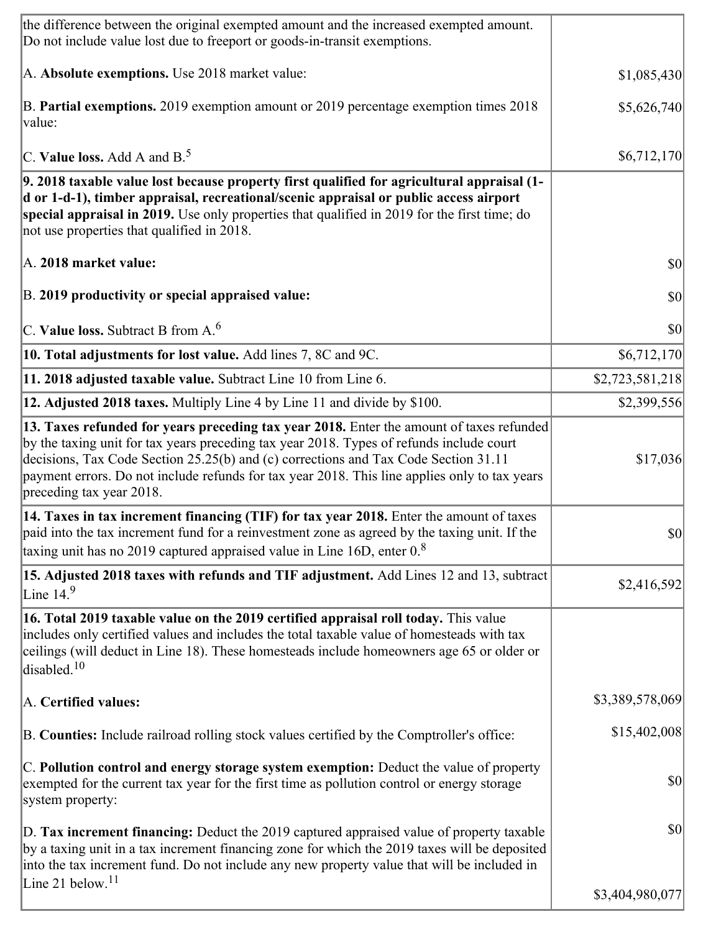| the difference between the original exempted amount and the increased exempted amount.<br>Do not include value lost due to freeport or goods-in-transit exemptions.                                                                                                                                                                                                                                      |                 |
|----------------------------------------------------------------------------------------------------------------------------------------------------------------------------------------------------------------------------------------------------------------------------------------------------------------------------------------------------------------------------------------------------------|-----------------|
| A. Absolute exemptions. Use 2018 market value:                                                                                                                                                                                                                                                                                                                                                           | \$1,085,430     |
| B. Partial exemptions. 2019 exemption amount or 2019 percentage exemption times 2018<br>value:                                                                                                                                                                                                                                                                                                           | \$5,626,740     |
| C. Value loss. Add A and $B^5$ .                                                                                                                                                                                                                                                                                                                                                                         | \$6,712,170     |
| 9. 2018 taxable value lost because property first qualified for agricultural appraisal (1-<br>d or 1-d-1), timber appraisal, recreational/scenic appraisal or public access airport<br>special appraisal in 2019. Use only properties that qualified in 2019 for the first time; do<br>not use properties that qualified in 2018.                                                                        |                 |
| A. 2018 market value:                                                                                                                                                                                                                                                                                                                                                                                    | 30              |
| B. 2019 productivity or special appraised value:                                                                                                                                                                                                                                                                                                                                                         | \$0             |
| C. Value loss. Subtract B from $A6$                                                                                                                                                                                                                                                                                                                                                                      | 30              |
| 10. Total adjustments for lost value. Add lines 7, 8C and 9C.                                                                                                                                                                                                                                                                                                                                            | \$6,712,170     |
| 11. 2018 adjusted taxable value. Subtract Line 10 from Line 6.                                                                                                                                                                                                                                                                                                                                           | \$2,723,581,218 |
| 12. Adjusted 2018 taxes. Multiply Line 4 by Line 11 and divide by \$100.                                                                                                                                                                                                                                                                                                                                 | \$2,399,556     |
| 13. Taxes refunded for years preceding tax year 2018. Enter the amount of taxes refunded<br>by the taxing unit for tax years preceding tax year 2018. Types of refunds include court<br>decisions, Tax Code Section 25.25(b) and (c) corrections and Tax Code Section 31.11<br>payment errors. Do not include refunds for tax year 2018. This line applies only to tax years<br>preceding tax year 2018. | \$17,036        |
| 14. Taxes in tax increment financing (TIF) for tax year 2018. Enter the amount of taxes<br>paid into the tax increment fund for a reinvestment zone as agreed by the taxing unit. If the<br>taxing unit has no 2019 captured appraised value in Line 16D, enter $0.8$                                                                                                                                    | 30              |
| 15. Adjusted 2018 taxes with refunds and TIF adjustment. Add Lines 12 and 13, subtract<br>Line $149$                                                                                                                                                                                                                                                                                                     | \$2,416,592     |
| 16. Total 2019 taxable value on the 2019 certified appraisal roll today. This value<br>includes only certified values and includes the total taxable value of homesteads with tax<br>ceilings (will deduct in Line 18). These homesteads include homeowners age 65 or older or<br>disabled. <sup>10</sup>                                                                                                |                 |
| A. Certified values:                                                                                                                                                                                                                                                                                                                                                                                     | \$3,389,578,069 |
| B. Counties: Include railroad rolling stock values certified by the Comptroller's office:                                                                                                                                                                                                                                                                                                                | \$15,402,008    |
| C. Pollution control and energy storage system exemption: Deduct the value of property<br>exempted for the current tax year for the first time as pollution control or energy storage<br>system property:                                                                                                                                                                                                | \$0             |
| D. Tax increment financing: Deduct the 2019 captured appraised value of property taxable<br>by a taxing unit in a tax increment financing zone for which the 2019 taxes will be deposited<br>into the tax increment fund. Do not include any new property value that will be included in                                                                                                                 | \$0             |
| Line 21 below. $11$                                                                                                                                                                                                                                                                                                                                                                                      | \$3,404,980,077 |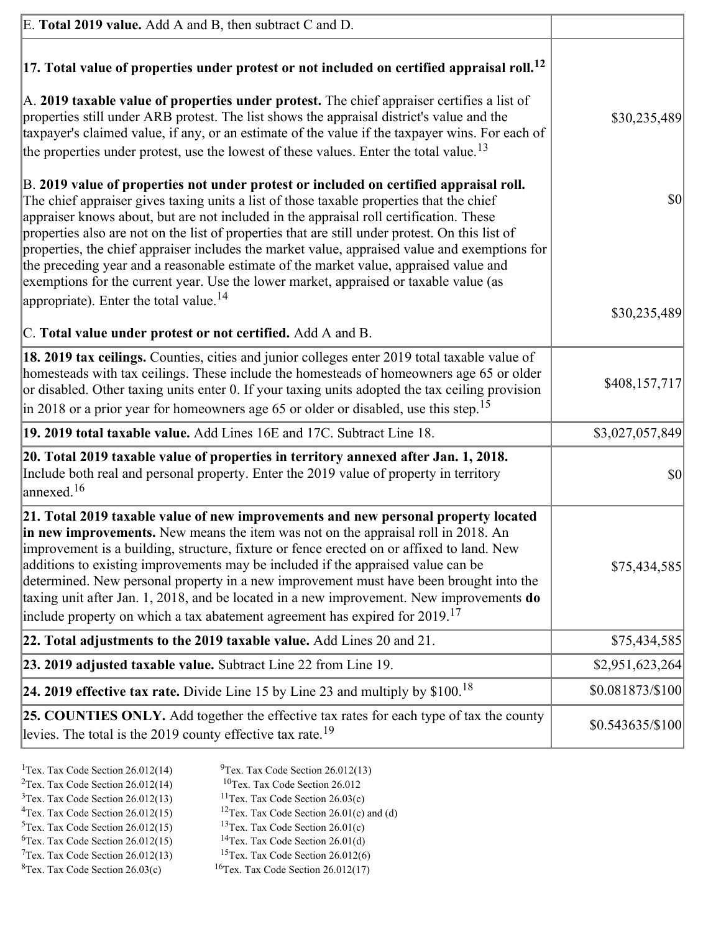| E. Total 2019 value. Add A and B, then subtract C and D.                                                                                                                                                                                                                                                                                                                                                                                                                                                                                                                                                                                                                                                                 |                   |
|--------------------------------------------------------------------------------------------------------------------------------------------------------------------------------------------------------------------------------------------------------------------------------------------------------------------------------------------------------------------------------------------------------------------------------------------------------------------------------------------------------------------------------------------------------------------------------------------------------------------------------------------------------------------------------------------------------------------------|-------------------|
| $ 17$ . Total value of properties under protest or not included on certified appraisal roll. <sup>12</sup>                                                                                                                                                                                                                                                                                                                                                                                                                                                                                                                                                                                                               |                   |
| A. 2019 taxable value of properties under protest. The chief appraiser certifies a list of<br>properties still under ARB protest. The list shows the appraisal district's value and the<br>taxpayer's claimed value, if any, or an estimate of the value if the taxpayer wins. For each of<br>the properties under protest, use the lowest of these values. Enter the total value. <sup>13</sup>                                                                                                                                                                                                                                                                                                                         | \$30,235,489      |
| B. 2019 value of properties not under protest or included on certified appraisal roll.<br>The chief appraiser gives taxing units a list of those taxable properties that the chief<br>appraiser knows about, but are not included in the appraisal roll certification. These<br>properties also are not on the list of properties that are still under protest. On this list of<br>properties, the chief appraiser includes the market value, appraised value and exemptions for<br>the preceding year and a reasonable estimate of the market value, appraised value and<br>exemptions for the current year. Use the lower market, appraised or taxable value (as<br>appropriate). Enter the total value. <sup>14</sup> | \$0               |
|                                                                                                                                                                                                                                                                                                                                                                                                                                                                                                                                                                                                                                                                                                                          | \$30,235,489      |
| C. Total value under protest or not certified. Add A and B.                                                                                                                                                                                                                                                                                                                                                                                                                                                                                                                                                                                                                                                              |                   |
| 18. 2019 tax ceilings. Counties, cities and junior colleges enter 2019 total taxable value of<br>homesteads with tax ceilings. These include the homesteads of homeowners age 65 or older<br>or disabled. Other taxing units enter 0. If your taxing units adopted the tax ceiling provision<br>in 2018 or a prior year for homeowners age 65 or older or disabled, use this step. <sup>15</sup>                                                                                                                                                                                                                                                                                                                         | \$408,157,717     |
| 19. 2019 total taxable value. Add Lines 16E and 17C. Subtract Line 18.                                                                                                                                                                                                                                                                                                                                                                                                                                                                                                                                                                                                                                                   | \$3,027,057,849   |
| 20. Total 2019 taxable value of properties in territory annexed after Jan. 1, 2018.<br>Include both real and personal property. Enter the 2019 value of property in territory<br>$\frac{16}{2}$                                                                                                                                                                                                                                                                                                                                                                                                                                                                                                                          | \$0               |
| 21. Total 2019 taxable value of new improvements and new personal property located<br>in new improvements. New means the item was not on the appraisal roll in 2018. An<br>improvement is a building, structure, fixture or fence erected on or affixed to land. New<br>additions to existing improvements may be included if the appraised value can be<br>determined. New personal property in a new improvement must have been brought into the<br>taxing unit after Jan. 1, 2018, and be located in a new improvement. New improvements do<br>include property on which a tax abatement agreement has expired for $2019$ . <sup>17</sup>                                                                             | \$75,434,585      |
| 22. Total adjustments to the 2019 taxable value. Add Lines 20 and 21.                                                                                                                                                                                                                                                                                                                                                                                                                                                                                                                                                                                                                                                    | \$75,434,585      |
| 23. 2019 adjusted taxable value. Subtract Line 22 from Line 19.                                                                                                                                                                                                                                                                                                                                                                                                                                                                                                                                                                                                                                                          | \$2,951,623,264   |
| 24. 2019 effective tax rate. Divide Line 15 by Line 23 and multiply by $$100$ . <sup>18</sup>                                                                                                                                                                                                                                                                                                                                                                                                                                                                                                                                                                                                                            | \$0.081873/\$100  |
| 25. COUNTIES ONLY. Add together the effective tax rates for each type of tax the county<br>levies. The total is the 2019 county effective tax rate. <sup>19</sup>                                                                                                                                                                                                                                                                                                                                                                                                                                                                                                                                                        | $$0.543635/\$100$ |
|                                                                                                                                                                                                                                                                                                                                                                                                                                                                                                                                                                                                                                                                                                                          |                   |

- <sup>1</sup>Tex. Tax Code Section 26.012(14) <sup>9</sup>Tex. Tax Code Section 26.012(13) <sup>9</sup>Tex. Tax Code Section 26.012 <sup>2</sup>Tex. Tax Code Section 26.012(14)<br><sup>3</sup>Tex. Tax Code Section 26.012(13)
	-
	-
- <sup>3</sup>Tex. Tax Code Section 26.012(13) <sup>11</sup>Tex. Tax Code Section 26.03(c) <sup>4</sup>Tex. Tax Code Section 26.01(c)
- <sup>4</sup>Tex. Tax Code Section 26.012(15) <sup>12</sup>Tex. Tax Code Section 26.01(c) and (d)<br><sup>5</sup>Tex. Tax Code Section 26.012(15) <sup>13</sup>Tex. Tax Code Section 26.01(c)
	-
- <sup>6</sup>Tex. Tax Code Section 26.012(15)<br><sup>7</sup>Tex. Tax Code Section 26.012(13)
- 
- 
- 
- 
- <sup>13</sup>Tex. Tax Code Section 26.01(c) <sup>14</sup>Tex. Tax Code Section 26.01(d)
- 
- <sup>7</sup>Tex. Tax Code Section 26.012(13) <sup>15</sup>Tex. Tax Code Section 26.012(6)<br><sup>8</sup>Tex. Tax Code Section 26.03(c) <sup>16</sup>Tex. Tax Code Section 26.012(17)  $16$ Tex. Tax Code Section 26.012(17)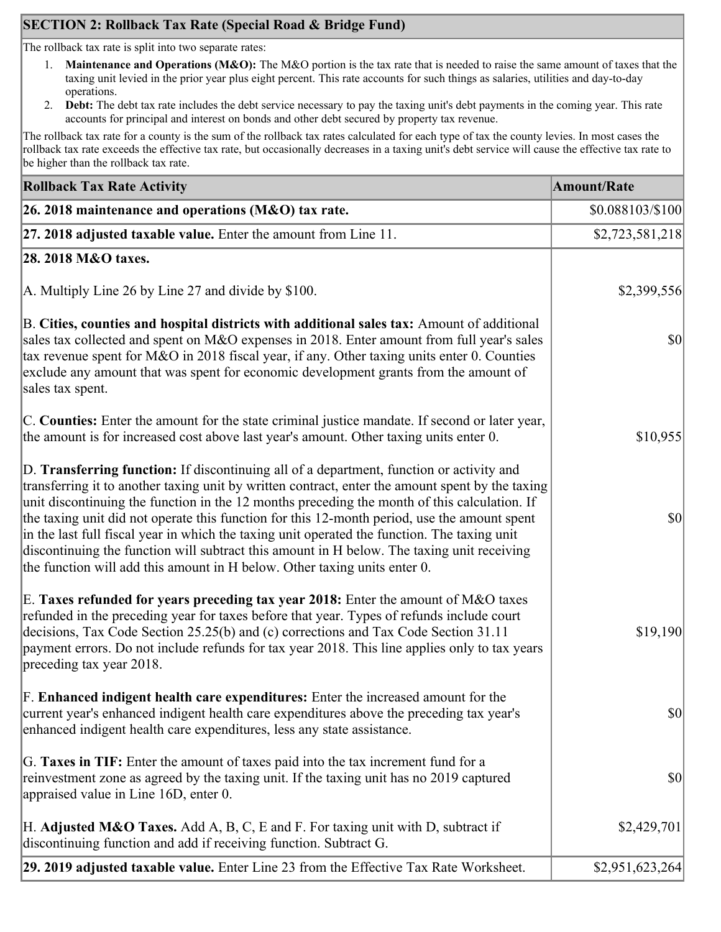## **SECTION 2: Rollback Tax Rate (Special Road & Bridge Fund)**

The rollback tax rate is split into two separate rates:

- 1. **Maintenance and Operations (M&O):** The M&O portion is the tax rate that is needed to raise the same amount of taxes that the taxing unit levied in the prior year plus eight percent. This rate accounts for such things as salaries, utilities and day-to-day operations.
- 2. **Debt:** The debt tax rate includes the debt service necessary to pay the taxing unit's debt payments in the coming year. This rate accounts for principal and interest on bonds and other debt secured by property tax revenue.

The rollback tax rate for a county is the sum of the rollback tax rates calculated for each type of tax the county levies. In most cases the rollback tax rate exceeds the effective tax rate, but occasionally decreases in a taxing unit's debt service will cause the effective tax rate to be higher than the rollback tax rate.

| <b>Rollback Tax Rate Activity</b>                                                                                                                                                                                                                                                                                                                                                                                                                                                                                                                                                                                                                                       | <b>Amount/Rate</b>                  |
|-------------------------------------------------------------------------------------------------------------------------------------------------------------------------------------------------------------------------------------------------------------------------------------------------------------------------------------------------------------------------------------------------------------------------------------------------------------------------------------------------------------------------------------------------------------------------------------------------------------------------------------------------------------------------|-------------------------------------|
| 26. 2018 maintenance and operations ( $M&O$ ) tax rate.                                                                                                                                                                                                                                                                                                                                                                                                                                                                                                                                                                                                                 | \$0.088103/\$100                    |
| 27. 2018 adjusted taxable value. Enter the amount from Line 11.                                                                                                                                                                                                                                                                                                                                                                                                                                                                                                                                                                                                         | \$2,723,581,218                     |
| 28. 2018 M&O taxes.                                                                                                                                                                                                                                                                                                                                                                                                                                                                                                                                                                                                                                                     |                                     |
| A. Multiply Line 26 by Line 27 and divide by $$100$ .                                                                                                                                                                                                                                                                                                                                                                                                                                                                                                                                                                                                                   | \$2,399,556                         |
| B. Cities, counties and hospital districts with additional sales tax: Amount of additional<br>sales tax collected and spent on M&O expenses in 2018. Enter amount from full year's sales<br>tax revenue spent for M&O in 2018 fiscal year, if any. Other taxing units enter 0. Counties<br>exclude any amount that was spent for economic development grants from the amount of<br>sales tax spent.                                                                                                                                                                                                                                                                     | <b>\$0</b>                          |
| C. Counties: Enter the amount for the state criminal justice mandate. If second or later year,<br>the amount is for increased cost above last year's amount. Other taxing units enter 0.                                                                                                                                                                                                                                                                                                                                                                                                                                                                                | \$10,955                            |
| D. Transferring function: If discontinuing all of a department, function or activity and<br>transferring it to another taxing unit by written contract, enter the amount spent by the taxing<br>unit discontinuing the function in the 12 months preceding the month of this calculation. If<br>the taxing unit did not operate this function for this 12-month period, use the amount spent<br>in the last full fiscal year in which the taxing unit operated the function. The taxing unit<br>discontinuing the function will subtract this amount in H below. The taxing unit receiving<br>the function will add this amount in H below. Other taxing units enter 0. | $\vert \mathbf{S} \mathbf{0} \vert$ |
| E. Taxes refunded for years preceding tax year 2018: Enter the amount of M&O taxes<br>refunded in the preceding year for taxes before that year. Types of refunds include court<br>decisions, Tax Code Section 25.25(b) and (c) corrections and Tax Code Section 31.11<br>payment errors. Do not include refunds for tax year 2018. This line applies only to tax years<br>preceding tax year 2018.                                                                                                                                                                                                                                                                     | \$19,190                            |
| F. Enhanced indigent health care expenditures: Enter the increased amount for the<br>current year's enhanced indigent health care expenditures above the preceding tax year's<br>enhanced indigent health care expenditures, less any state assistance.                                                                                                                                                                                                                                                                                                                                                                                                                 | <b>\$0</b>                          |
| G. Taxes in TIF: Enter the amount of taxes paid into the tax increment fund for a<br>reinvestment zone as agreed by the taxing unit. If the taxing unit has no 2019 captured<br>appraised value in Line 16D, enter 0.                                                                                                                                                                                                                                                                                                                                                                                                                                                   | $ 10\rangle$                        |
| H. Adjusted M&O Taxes. Add A, B, C, E and F. For taxing unit with D, subtract if<br>discontinuing function and add if receiving function. Subtract G.                                                                                                                                                                                                                                                                                                                                                                                                                                                                                                                   | \$2,429,701                         |
| 29. 2019 adjusted taxable value. Enter Line 23 from the Effective Tax Rate Worksheet.                                                                                                                                                                                                                                                                                                                                                                                                                                                                                                                                                                                   | \$2,951,623,264                     |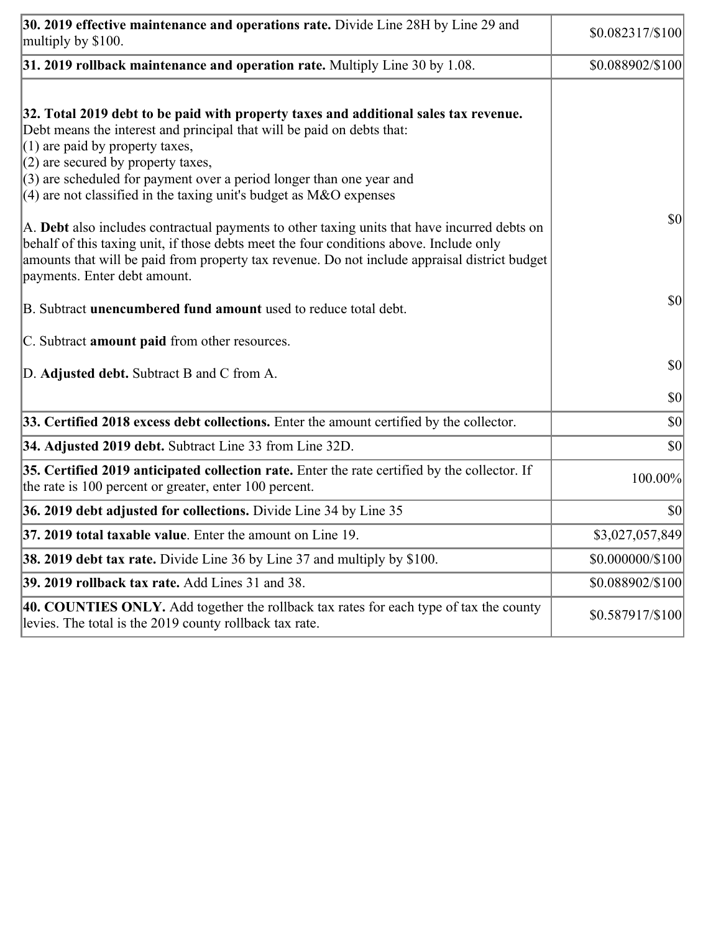| 30. 2019 effective maintenance and operations rate. Divide Line 28H by Line 29 and<br>multiply by \$100.                                                                                                                                                                                                                                                                                      | $$0.082317/\$100$ |
|-----------------------------------------------------------------------------------------------------------------------------------------------------------------------------------------------------------------------------------------------------------------------------------------------------------------------------------------------------------------------------------------------|-------------------|
| $31.2019$ rollback maintenance and operation rate. Multiply Line 30 by 1.08.                                                                                                                                                                                                                                                                                                                  | \$0.088902/\$100  |
| 32. Total 2019 debt to be paid with property taxes and additional sales tax revenue.<br>Debt means the interest and principal that will be paid on debts that:<br>$(1)$ are paid by property taxes,<br>$(2)$ are secured by property taxes,<br>$(3)$ are scheduled for payment over a period longer than one year and<br>$(4)$ are not classified in the taxing unit's budget as M&O expenses |                   |
| A. Debt also includes contractual payments to other taxing units that have incurred debts on<br>behalf of this taxing unit, if those debts meet the four conditions above. Include only<br>amounts that will be paid from property tax revenue. Do not include appraisal district budget<br>payments. Enter debt amount.                                                                      | $ 10\rangle$      |
| B. Subtract <b>unencumbered fund amount</b> used to reduce total debt.                                                                                                                                                                                                                                                                                                                        | $ 10\rangle$      |
| C. Subtract <b>amount paid</b> from other resources.                                                                                                                                                                                                                                                                                                                                          |                   |
| D. Adjusted debt. Subtract B and C from A.                                                                                                                                                                                                                                                                                                                                                    | $ 10\rangle$      |
|                                                                                                                                                                                                                                                                                                                                                                                               | $ 10\rangle$      |
| 33. Certified 2018 excess debt collections. Enter the amount certified by the collector.                                                                                                                                                                                                                                                                                                      | $ 10\rangle$      |
| 34. Adjusted 2019 debt. Subtract Line 33 from Line 32D.                                                                                                                                                                                                                                                                                                                                       | \$0               |
| 35. Certified 2019 anticipated collection rate. Enter the rate certified by the collector. If<br>the rate is 100 percent or greater, enter 100 percent.                                                                                                                                                                                                                                       | 100.00%           |
| 36. 2019 debt adjusted for collections. Divide Line 34 by Line 35                                                                                                                                                                                                                                                                                                                             | $ 10\rangle$      |
| 37. 2019 total taxable value. Enter the amount on Line 19.                                                                                                                                                                                                                                                                                                                                    | \$3,027,057,849   |
| <b>38. 2019 debt tax rate.</b> Divide Line 36 by Line 37 and multiply by \$100.                                                                                                                                                                                                                                                                                                               | \$0.000000/\$100  |
| 39. 2019 rollback tax rate. Add Lines 31 and 38.                                                                                                                                                                                                                                                                                                                                              | \$0.088902/\$100  |
| 40. COUNTIES ONLY. Add together the rollback tax rates for each type of tax the county<br>levies. The total is the 2019 county rollback tax rate.                                                                                                                                                                                                                                             | \$0.587917/\$100  |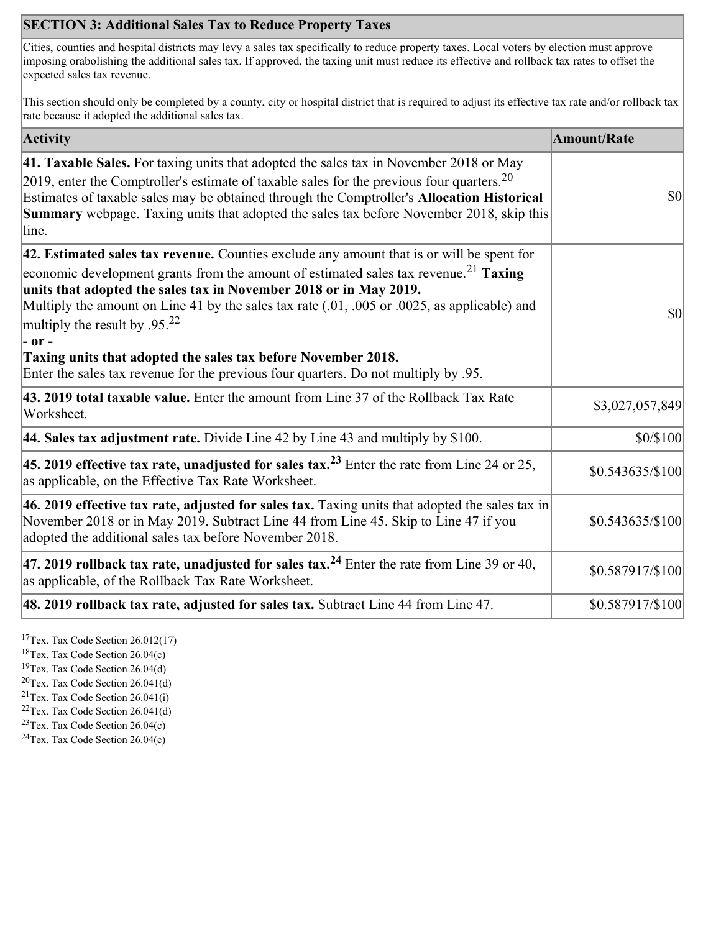## **SECTION 3: Additional Sales Tax to Reduce Property Taxes**

Cities, counties and hospital districts may levy a sales tax specifically to reduce property taxes. Local voters by election must approve imposing orabolishing the additional sales tax. If approved, the taxing unit must reduce its effective and rollback tax rates to offset the expected sales tax revenue.

This section should only be completed by a county, city or hospital district that is required to adjust its effective tax rate and/or rollback tax rate because it adopted the additional sales tax.

| <b>Activity</b>                                                                                                                                                                                                                                                                                                                                                                                                                                                                                                                                                                    | <b>Amount/Rate</b> |
|------------------------------------------------------------------------------------------------------------------------------------------------------------------------------------------------------------------------------------------------------------------------------------------------------------------------------------------------------------------------------------------------------------------------------------------------------------------------------------------------------------------------------------------------------------------------------------|--------------------|
| 41. Taxable Sales. For taxing units that adopted the sales tax in November 2018 or May<br>[2019, enter the Comptroller's estimate of taxable sales for the previous four quarters. <sup>20</sup><br>Estimates of taxable sales may be obtained through the Comptroller's Allocation Historical<br><b>Summary</b> webpage. Taxing units that adopted the sales tax before November 2018, skip this<br>line.                                                                                                                                                                         | $ 10\rangle$       |
| 42. Estimated sales tax revenue. Counties exclude any amount that is or will be spent for<br>economic development grants from the amount of estimated sales tax revenue. <sup>21</sup> Taxing<br>units that adopted the sales tax in November 2018 or in May 2019.<br>Multiply the amount on Line 41 by the sales tax rate (.01, .005 or .0025, as applicable) and<br>multiply the result by .95. <sup>22</sup><br> - or -<br>Taxing units that adopted the sales tax before November 2018.<br>Enter the sales tax revenue for the previous four quarters. Do not multiply by .95. | $ 10\rangle$       |
| 43. 2019 total taxable value. Enter the amount from Line 37 of the Rollback Tax Rate<br>Worksheet.                                                                                                                                                                                                                                                                                                                                                                                                                                                                                 | \$3,027,057,849    |
| 44. Sales tax adjustment rate. Divide Line 42 by Line 43 and multiply by $$100$ .                                                                                                                                                                                                                                                                                                                                                                                                                                                                                                  | \$0/\$100          |
| 45. 2019 effective tax rate, unadjusted for sales tax. <sup>23</sup> Enter the rate from Line 24 or 25,<br>as applicable, on the Effective Tax Rate Worksheet.                                                                                                                                                                                                                                                                                                                                                                                                                     | $$0.543635/\$100$  |
| 46. 2019 effective tax rate, adjusted for sales tax. Taxing units that adopted the sales tax in<br>November 2018 or in May 2019. Subtract Line 44 from Line 45. Skip to Line 47 if you<br>adopted the additional sales tax before November 2018.                                                                                                                                                                                                                                                                                                                                   | \$0.543635/\$100   |
| 47. 2019 rollback tax rate, unadjusted for sales tax. <sup>24</sup> Enter the rate from Line 39 or 40,<br>as applicable, of the Rollback Tax Rate Worksheet.                                                                                                                                                                                                                                                                                                                                                                                                                       | \$0.587917/\$100   |
| [48. 2019 rollback tax rate, adjusted for sales tax. Subtract Line 44 from Line 47.                                                                                                                                                                                                                                                                                                                                                                                                                                                                                                | \$0.587917/\$100   |

<sup>17</sup>Tex. Tax Code Section 26.012(17)

<sup>18</sup>Tex. Tax Code Section 26.04(c)

<sup>19</sup>Tex. Tax Code Section 26.04(d)

 $20$ Tex. Tax Code Section 26.041(d)

<sup>21</sup>Tex. Tax Code Section  $26.041(i)$ 

 $22$ Tex. Tax Code Section 26.041(d)

 $23$ Tex. Tax Code Section 26.04(c)  $24$ Tex. Tax Code Section 26.04(c)